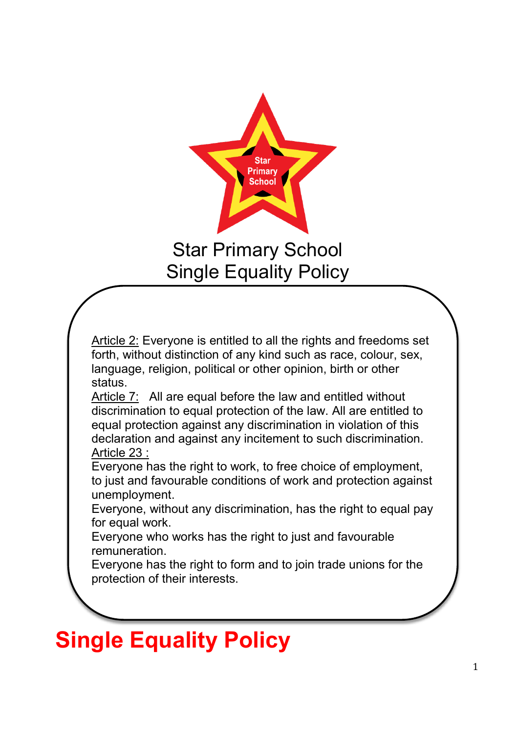

## Star Primary School Single Equality Policy

Article 2: Everyone is entitled to all the rights and freedoms set forth, without distinction of any kind such as race, colour, sex, language, religion, political or other opinion, birth or other status.

Article 7: All are equal before the law and entitled without discrimination to equal protection of the law. All are entitled to equal protection against any discrimination in violation of this declaration and against any incitement to such discrimination. Article 23 :

Everyone has the right to work, to free choice of employment, to just and favourable conditions of work and protection against unemployment.

Everyone, without any discrimination, has the right to equal pay for equal work.

Everyone who works has the right to just and favourable remuneration.

Everyone has the right to form and to join trade unions for the protection of their interests.

# **Single Equality Policy**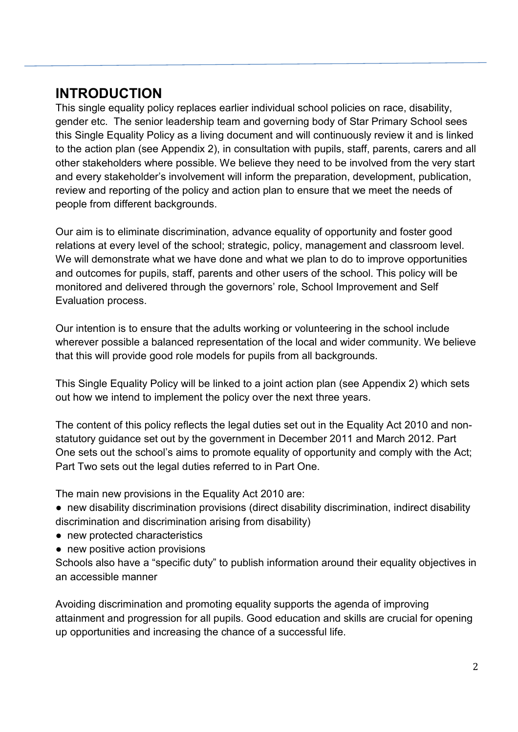### **INTRODUCTION**

This single equality policy replaces earlier individual school policies on race, disability, gender etc. The senior leadership team and governing body of Star Primary School sees this Single Equality Policy as a living document and will continuously review it and is linked to the action plan (see Appendix 2), in consultation with pupils, staff, parents, carers and all other stakeholders where possible. We believe they need to be involved from the very start and every stakeholder's involvement will inform the preparation, development, publication, review and reporting of the policy and action plan to ensure that we meet the needs of people from different backgrounds.

Our aim is to eliminate discrimination, advance equality of opportunity and foster good relations at every level of the school; strategic, policy, management and classroom level. We will demonstrate what we have done and what we plan to do to improve opportunities and outcomes for pupils, staff, parents and other users of the school. This policy will be monitored and delivered through the governors' role, School Improvement and Self Evaluation process.

Our intention is to ensure that the adults working or volunteering in the school include wherever possible a balanced representation of the local and wider community. We believe that this will provide good role models for pupils from all backgrounds.

This Single Equality Policy will be linked to a joint action plan (see Appendix 2) which sets out how we intend to implement the policy over the next three years.

The content of this policy reflects the legal duties set out in the Equality Act 2010 and nonstatutory guidance set out by the government in December 2011 and March 2012. Part One sets out the school's aims to promote equality of opportunity and comply with the Act; Part Two sets out the legal duties referred to in Part One.

The main new provisions in the Equality Act 2010 are:

- new disability discrimination provisions (direct disability discrimination, indirect disability discrimination and discrimination arising from disability)
- new protected characteristics
- new positive action provisions

Schools also have a "specific duty" to publish information around their equality objectives in an accessible manner

Avoiding discrimination and promoting equality supports the agenda of improving attainment and progression for all pupils. Good education and skills are crucial for opening up opportunities and increasing the chance of a successful life.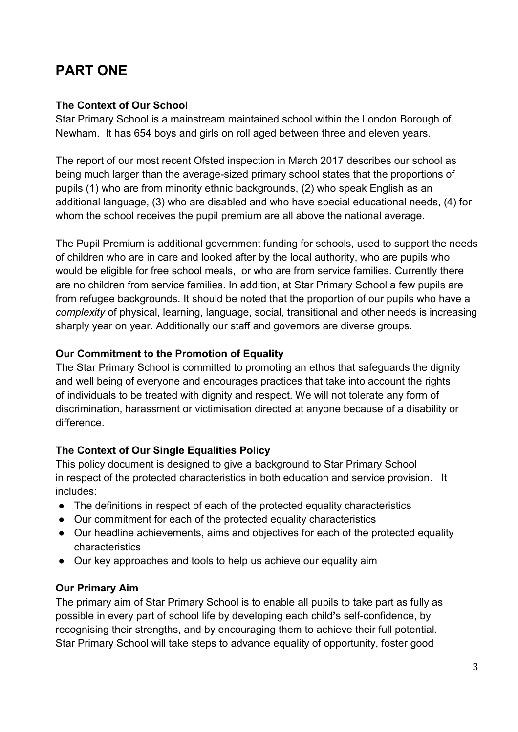## **PART ONE**

#### **The Context of Our School**

Star Primary School is a mainstream maintained school within the London Borough of Newham. It has 654 boys and girls on roll aged between three and eleven years.

The report of our most recent Ofsted inspection in March 2017 describes our school as being much larger than the average-sized primary school states that the proportions of pupils (1) who are from minority ethnic backgrounds, (2) who speak English as an additional language, (3) who are disabled and who have special educational needs, (4) for whom the school receives the pupil premium are all above the national average.

The Pupil Premium is additional government funding for schools, used to support the needs of children who are in care and looked after by the local authority, who are pupils who would be eligible for free school meals, or who are from service families. Currently there are no children from service families. In addition, at Star Primary School a few pupils are from refugee backgrounds. It should be noted that the proportion of our pupils who have a *complexity* of physical, learning, language, social, transitional and other needs is increasing sharply year on year. Additionally our staff and governors are diverse groups.

#### **Our Commitment to the Promotion of Equality**

The Star Primary School is committed to promoting an ethos that safeguards the dignity and well being of everyone and encourages practices that take into account the rights of individuals to be treated with dignity and respect. We will not tolerate any form of discrimination, harassment or victimisation directed at anyone because of a disability or difference.

#### **The Context of Our Single Equalities Policy**

This policy document is designed to give a background to Star Primary School in respect of the protected characteristics in both education and service provision. It includes:

- The definitions in respect of each of the protected equality characteristics
- Our commitment for each of the protected equality characteristics
- Our headline achievements, aims and objectives for each of the protected equality characteristics
- Our key approaches and tools to help us achieve our equality aim

#### **Our Primary Aim**

The primary aim of Star Primary School is to enable all pupils to take part as fully as possible in every part of school life by developing each child**'**s self-confidence, by recognising their strengths, and by encouraging them to achieve their full potential. Star Primary School will take steps to advance equality of opportunity, foster good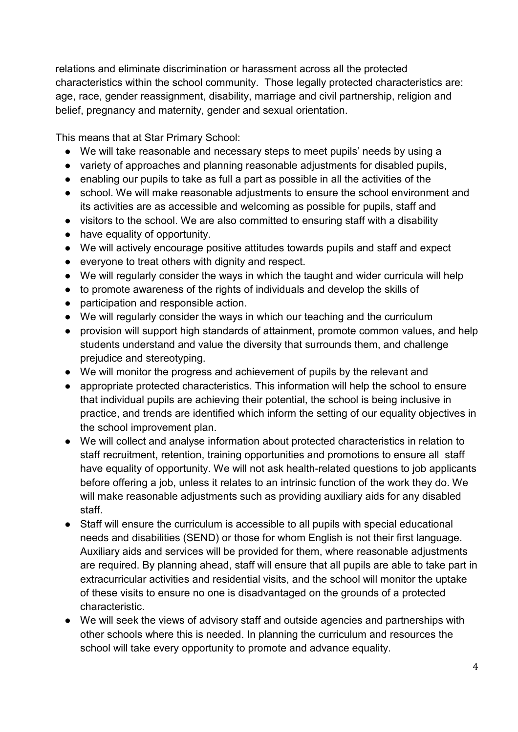relations and eliminate discrimination or harassment across all the protected characteristics within the school community. Those legally protected characteristics are: age, race, gender reassignment, disability, marriage and civil partnership, religion and belief, pregnancy and maternity, gender and sexual orientation.

This means that at Star Primary School:

- We will take reasonable and necessary steps to meet pupils' needs by using a
- variety of approaches and planning reasonable adjustments for disabled pupils,
- enabling our pupils to take as full a part as possible in all the activities of the
- school. We will make reasonable adjustments to ensure the school environment and its activities are as accessible and welcoming as possible for pupils, staff and
- visitors to the school. We are also committed to ensuring staff with a disability
- have equality of opportunity.
- We will actively encourage positive attitudes towards pupils and staff and expect
- everyone to treat others with dignity and respect.
- We will regularly consider the ways in which the taught and wider curricula will help
- to promote awareness of the rights of individuals and develop the skills of
- participation and responsible action.
- We will regularly consider the ways in which our teaching and the curriculum
- provision will support high standards of attainment, promote common values, and help students understand and value the diversity that surrounds them, and challenge prejudice and stereotyping.
- We will monitor the progress and achievement of pupils by the relevant and
- appropriate protected characteristics. This information will help the school to ensure that individual pupils are achieving their potential, the school is being inclusive in practice, and trends are identified which inform the setting of our equality objectives in the school improvement plan.
- We will collect and analyse information about protected characteristics in relation to staff recruitment, retention, training opportunities and promotions to ensure all staff have equality of opportunity. We will not ask health-related questions to job applicants before offering a job, unless it relates to an intrinsic function of the work they do. We will make reasonable adjustments such as providing auxiliary aids for any disabled staff.
- Staff will ensure the curriculum is accessible to all pupils with special educational needs and disabilities (SEND) or those for whom English is not their first language. Auxiliary aids and services will be provided for them, where reasonable adjustments are required. By planning ahead, staff will ensure that all pupils are able to take part in extracurricular activities and residential visits, and the school will monitor the uptake of these visits to ensure no one is disadvantaged on the grounds of a protected characteristic.
- We will seek the views of advisory staff and outside agencies and partnerships with other schools where this is needed. In planning the curriculum and resources the school will take every opportunity to promote and advance equality.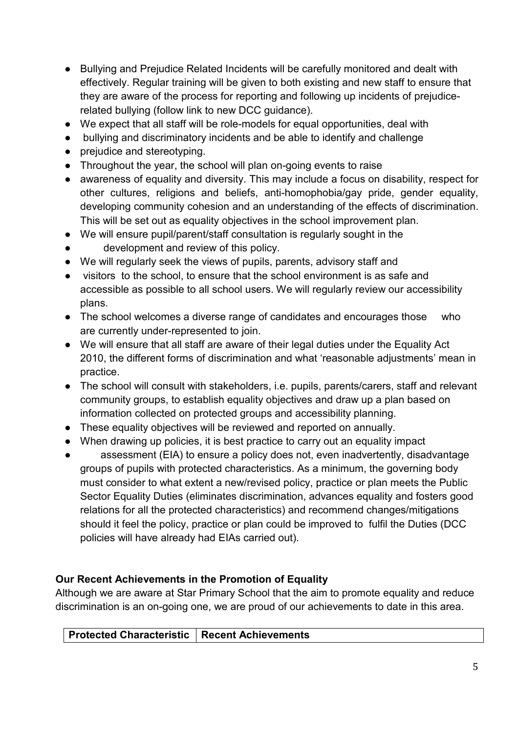- Bullying and Prejudice Related Incidents will be carefully monitored and dealt with effectively. Regular training will be given to both existing and new staff to ensure that they are aware of the process for reporting and following up incidents of prejudicerelated bullying (follow link to new DCC guidance).
- We expect that all staff will be role-models for equal opportunities, deal with
- bullying and discriminatory incidents and be able to identify and challenge
- prejudice and stereotyping.
- Throughout the year, the school will plan on-going events to raise
- awareness of equality and diversity. This may include a focus on disability, respect for other cultures, religions and beliefs, anti-homophobia/gay pride, gender equality, developing community cohesion and an understanding of the effects of discrimination. This will be set out as equality objectives in the school improvement plan.
- We will ensure pupil/parent/staff consultation is regularly sought in the
- development and review of this policy.
- We will regularly seek the views of pupils, parents, advisory staff and
- visitors to the school, to ensure that the school environment is as safe and accessible as possible to all school users. We will regularly review our accessibility plans.
- The school welcomes a diverse range of candidates and encourages those who are currently under-represented to join.
- We will ensure that all staff are aware of their legal duties under the Equality Act 2010, the different forms of discrimination and what 'reasonable adjustments' mean in practice.
- The school will consult with stakeholders, i.e. pupils, parents/carers, staff and relevant community groups, to establish equality objectives and draw up a plan based on information collected on protected groups and accessibility planning.
- These equality objectives will be reviewed and reported on annually.
- When drawing up policies, it is best practice to carry out an equality impact
- assessment (EIA) to ensure a policy does not, even inadvertently, disadvantage groups of pupils with protected characteristics. As a minimum, the governing body must consider to what extent a new/revised policy, practice or plan meets the Public Sector Equality Duties (eliminates discrimination, advances equality and fosters good relations for all the protected characteristics) and recommend changes/mitigations should it feel the policy, practice or plan could be improved to fulfil the Duties (DCC policies will have already had EIAs carried out).

#### **Our Recent Achievements in the Promotion of Equality**

Although we are aware at Star Primary School that the aim to promote equality and reduce discrimination is an on-going one, we are proud of our achievements to date in this area.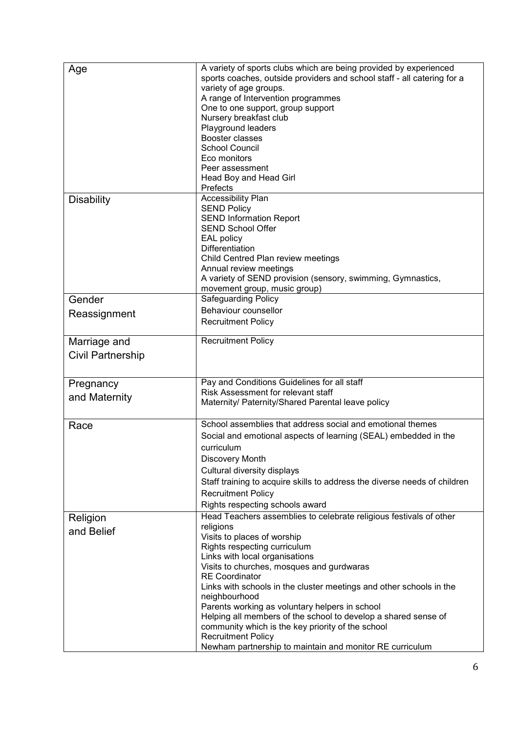| Age                      | A variety of sports clubs which are being provided by experienced<br>sports coaches, outside providers and school staff - all catering for a<br>variety of age groups.<br>A range of Intervention programmes<br>One to one support, group support<br>Nursery breakfast club<br>Playground leaders<br>Booster classes                                   |
|--------------------------|--------------------------------------------------------------------------------------------------------------------------------------------------------------------------------------------------------------------------------------------------------------------------------------------------------------------------------------------------------|
|                          | <b>School Council</b><br>Eco monitors<br>Peer assessment<br>Head Boy and Head Girl<br>Prefects                                                                                                                                                                                                                                                         |
| <b>Disability</b>        | <b>Accessibility Plan</b><br><b>SEND Policy</b><br><b>SEND Information Report</b><br><b>SEND School Offer</b><br><b>EAL policy</b><br><b>Differentiation</b><br>Child Centred Plan review meetings<br>Annual review meetings<br>A variety of SEND provision (sensory, swimming, Gymnastics,<br>movement group, music group)                            |
| Gender                   | Safeguarding Policy                                                                                                                                                                                                                                                                                                                                    |
|                          | Behaviour counsellor                                                                                                                                                                                                                                                                                                                                   |
| Reassignment             | <b>Recruitment Policy</b>                                                                                                                                                                                                                                                                                                                              |
| Marriage and             | <b>Recruitment Policy</b>                                                                                                                                                                                                                                                                                                                              |
| <b>Civil Partnership</b> |                                                                                                                                                                                                                                                                                                                                                        |
| Pregnancy                | Pay and Conditions Guidelines for all staff                                                                                                                                                                                                                                                                                                            |
| and Maternity            | Risk Assessment for relevant staff<br>Maternity/ Paternity/Shared Parental leave policy                                                                                                                                                                                                                                                                |
| Race                     | School assemblies that address social and emotional themes<br>Social and emotional aspects of learning (SEAL) embedded in the<br>curriculum<br>Discovery Month<br>Cultural diversity displays<br>Staff training to acquire skills to address the diverse needs of children<br><b>Recruitment Policy</b><br>Rights respecting schools award             |
| Religion                 | Head Teachers assemblies to celebrate religious festivals of other                                                                                                                                                                                                                                                                                     |
| and Belief               | religions<br>Visits to places of worship<br>Rights respecting curriculum<br>Links with local organisations<br>Visits to churches, mosques and gurdwaras<br><b>RE</b> Coordinator                                                                                                                                                                       |
|                          | Links with schools in the cluster meetings and other schools in the<br>neighbourhood<br>Parents working as voluntary helpers in school<br>Helping all members of the school to develop a shared sense of<br>community which is the key priority of the school<br><b>Recruitment Policy</b><br>Newham partnership to maintain and monitor RE curriculum |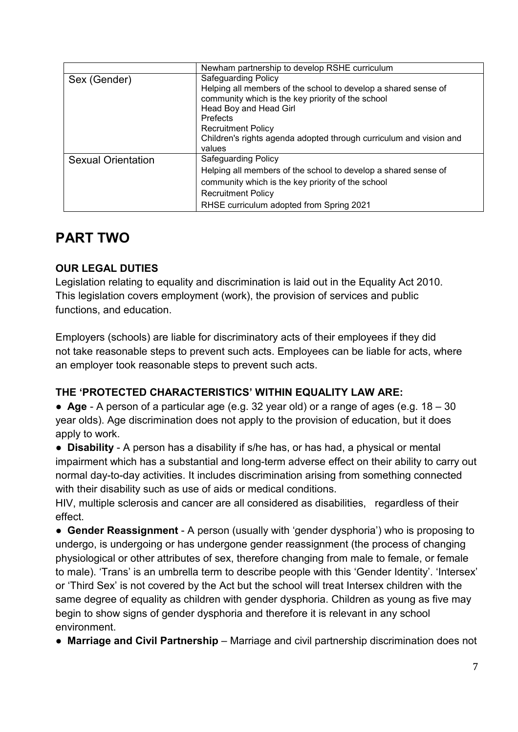|                           | Newham partnership to develop RSHE curriculum                                                                                                                                                                                                                                                        |  |  |
|---------------------------|------------------------------------------------------------------------------------------------------------------------------------------------------------------------------------------------------------------------------------------------------------------------------------------------------|--|--|
| Sex (Gender)              | <b>Safeguarding Policy</b><br>Helping all members of the school to develop a shared sense of<br>community which is the key priority of the school<br>Head Boy and Head Girl<br>Prefects<br><b>Recruitment Policy</b><br>Children's rights agenda adopted through curriculum and vision and<br>values |  |  |
| <b>Sexual Orientation</b> | <b>Safeguarding Policy</b><br>Helping all members of the school to develop a shared sense of<br>community which is the key priority of the school<br><b>Recruitment Policy</b><br>RHSE curriculum adopted from Spring 2021                                                                           |  |  |

## **PART TWO**

#### **OUR LEGAL DUTIES**

Legislation relating to equality and discrimination is laid out in the Equality Act 2010. This legislation covers employment (work), the provision of services and public functions, and education.

Employers (schools) are liable for discriminatory acts of their employees if they did not take reasonable steps to prevent such acts. Employees can be liable for acts, where an employer took reasonable steps to prevent such acts.

#### **THE 'PROTECTED CHARACTERISTICS' WITHIN EQUALITY LAW ARE:**

● **Age** - A person of a particular age (e.g. 32 year old) or a range of ages (e.g. 18 – 30 year olds). Age discrimination does not apply to the provision of education, but it does apply to work.

● **Disability** - A person has a disability if s/he has, or has had, a physical or mental impairment which has a substantial and long-term adverse effect on their ability to carry out normal day-to-day activities. It includes discrimination arising from something connected with their disability such as use of aids or medical conditions.

HIV, multiple sclerosis and cancer are all considered as disabilities, regardless of their effect.

● **Gender Reassignment** - A person (usually with 'gender dysphoria') who is proposing to undergo, is undergoing or has undergone gender reassignment (the process of changing physiological or other attributes of sex, therefore changing from male to female, or female to male). 'Trans' is an umbrella term to describe people with this 'Gender Identity'. 'Intersex' or 'Third Sex' is not covered by the Act but the school will treat Intersex children with the same degree of equality as children with gender dysphoria. Children as young as five may begin to show signs of gender dysphoria and therefore it is relevant in any school environment.

● **Marriage and Civil Partnership** – Marriage and civil partnership discrimination does not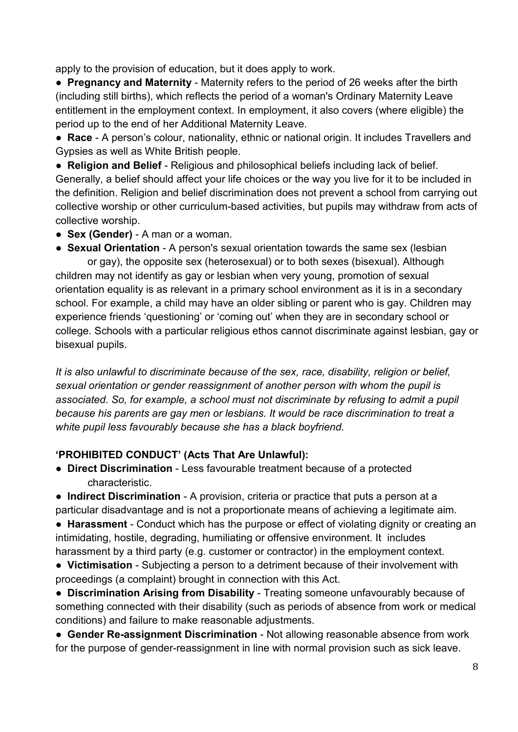apply to the provision of education, but it does apply to work.

● **Pregnancy and Maternity** - Maternity refers to the period of 26 weeks after the birth (including still births), which reflects the period of a woman's Ordinary Maternity Leave entitlement in the employment context. In employment, it also covers (where eligible) the period up to the end of her Additional Maternity Leave.

● **Race** - A person's colour, nationality, ethnic or national origin. It includes Travellers and Gypsies as well as White British people.

● **Religion and Belief** - Religious and philosophical beliefs including lack of belief. Generally, a belief should affect your life choices or the way you live for it to be included in the definition. Religion and belief discrimination does not prevent a school from carrying out collective worship or other curriculum-based activities, but pupils may withdraw from acts of collective worship.

- **Sex (Gender)** A man or a woman.
- **Sexual Orientation** A person's sexual orientation towards the same sex (lesbian

 or gay), the opposite sex (heterosexual) or to both sexes (bisexual). Although children may not identify as gay or lesbian when very young, promotion of sexual orientation equality is as relevant in a primary school environment as it is in a secondary school. For example, a child may have an older sibling or parent who is gay. Children may experience friends 'questioning' or 'coming out' when they are in secondary school or college. Schools with a particular religious ethos cannot discriminate against lesbian, gay or bisexual pupils.

*It is also unlawful to discriminate because of the sex, race, disability, religion or belief, sexual orientation or gender reassignment of another person with whom the pupil is associated. So, for example, a school must not discriminate by refusing to admit a pupil because his parents are gay men or lesbians. It would be race discrimination to treat a white pupil less favourably because she has a black boyfriend.*

#### **'PROHIBITED CONDUCT' (Acts That Are Unlawful):**

● **Direct Discrimination** - Less favourable treatment because of a protected characteristic.

● **Indirect Discrimination** - A provision, criteria or practice that puts a person at a particular disadvantage and is not a proportionate means of achieving a legitimate aim.

● **Harassment** - Conduct which has the purpose or effect of violating dignity or creating an intimidating, hostile, degrading, humiliating or offensive environment. It includes harassment by a third party (e.g. customer or contractor) in the employment context.

● **Victimisation** - Subjecting a person to a detriment because of their involvement with proceedings (a complaint) brought in connection with this Act.

● **Discrimination Arising from Disability** - Treating someone unfavourably because of something connected with their disability (such as periods of absence from work or medical conditions) and failure to make reasonable adjustments.

● **Gender Re-assignment Discrimination** - Not allowing reasonable absence from work for the purpose of gender-reassignment in line with normal provision such as sick leave.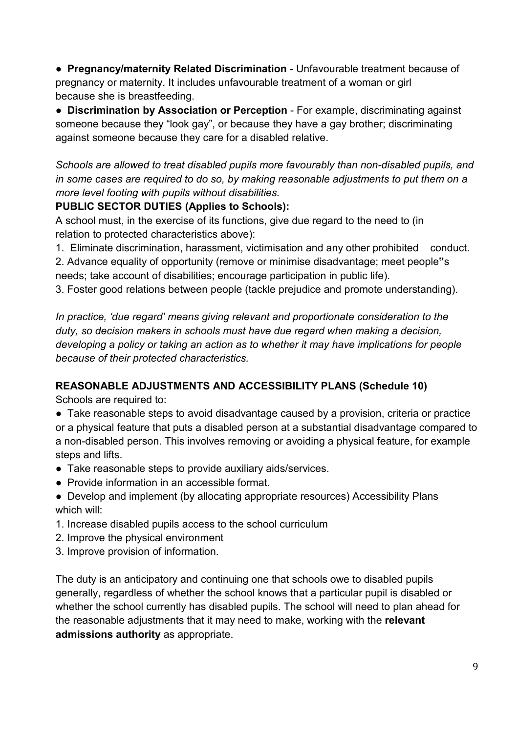● **Pregnancy/maternity Related Discrimination** - Unfavourable treatment because of pregnancy or maternity. It includes unfavourable treatment of a woman or girl because she is breastfeeding.

● **Discrimination by Association or Perception** - For example, discriminating against someone because they "look gay", or because they have a gay brother; discriminating against someone because they care for a disabled relative.

*Schools are allowed to treat disabled pupils more favourably than non-disabled pupils, and in some cases are required to do so, by making reasonable adjustments to put them on a more level footing with pupils without disabilities.*

#### **PUBLIC SECTOR DUTIES (Applies to Schools):**

A school must, in the exercise of its functions, give due regard to the need to (in relation to protected characteristics above):

1. Eliminate discrimination, harassment, victimisation and any other prohibited conduct.

2. Advance equality of opportunity (remove or minimise disadvantage; meet people**"**s needs; take account of disabilities; encourage participation in public life).

3. Foster good relations between people (tackle prejudice and promote understanding).

*In practice, 'due regard' means giving relevant and proportionate consideration to the duty, so decision makers in schools must have due regard when making a decision, developing a policy or taking an action as to whether it may have implications for people because of their protected characteristics.*

#### **REASONABLE ADJUSTMENTS AND ACCESSIBILITY PLANS (Schedule 10)**

Schools are required to:

- Take reasonable steps to avoid disadvantage caused by a provision, criteria or practice or a physical feature that puts a disabled person at a substantial disadvantage compared to a non-disabled person. This involves removing or avoiding a physical feature, for example steps and lifts.
- Take reasonable steps to provide auxiliary aids/services.
- Provide information in an accessible format.
- Develop and implement (by allocating appropriate resources) Accessibility Plans which will:
- 1. Increase disabled pupils access to the school curriculum
- 2. Improve the physical environment
- 3. Improve provision of information.

The duty is an anticipatory and continuing one that schools owe to disabled pupils generally, regardless of whether the school knows that a particular pupil is disabled or whether the school currently has disabled pupils. The school will need to plan ahead for the reasonable adjustments that it may need to make, working with the **relevant admissions authority** as appropriate.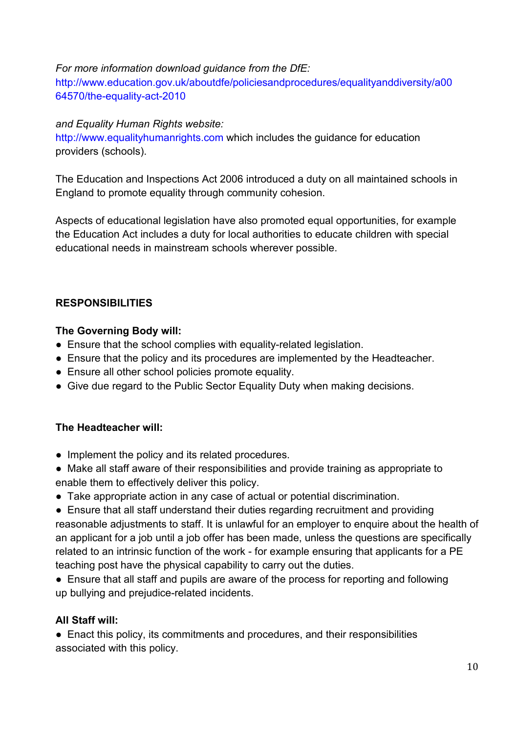#### *For more information download guidance from the DfE:*

http://www.education.gov.uk/aboutdfe/policiesandprocedures/equalityanddiversity/a00 64570/the-equality-act-2010

#### *and Equality Human Rights website:*

http://www.equalityhumanrights.com which includes the guidance for education providers (schools).

The Education and Inspections Act 2006 introduced a duty on all maintained schools in England to promote equality through community cohesion.

Aspects of educational legislation have also promoted equal opportunities, for example the Education Act includes a duty for local authorities to educate children with special educational needs in mainstream schools wherever possible.

#### **RESPONSIBILITIES**

#### **The Governing Body will:**

- Ensure that the school complies with equality-related legislation.
- Ensure that the policy and its procedures are implemented by the Headteacher.
- Ensure all other school policies promote equality.
- Give due regard to the Public Sector Equality Duty when making decisions.

#### **The Headteacher will:**

- Implement the policy and its related procedures.
- Make all staff aware of their responsibilities and provide training as appropriate to enable them to effectively deliver this policy.
- Take appropriate action in any case of actual or potential discrimination.

● Ensure that all staff understand their duties regarding recruitment and providing reasonable adjustments to staff. It is unlawful for an employer to enquire about the health of an applicant for a job until a job offer has been made, unless the questions are specifically related to an intrinsic function of the work - for example ensuring that applicants for a PE teaching post have the physical capability to carry out the duties.

● Ensure that all staff and pupils are aware of the process for reporting and following up bullying and prejudice-related incidents.

#### **All Staff will:**

● Enact this policy, its commitments and procedures, and their responsibilities associated with this policy.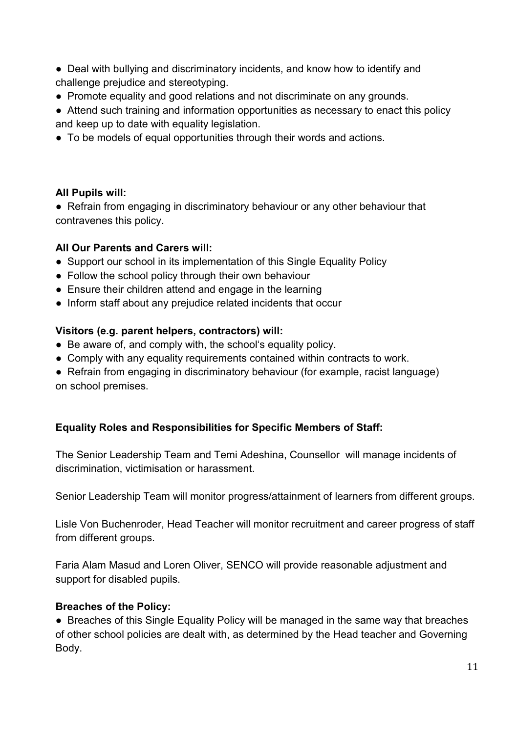- Deal with bullying and discriminatory incidents, and know how to identify and challenge prejudice and stereotyping.
- Promote equality and good relations and not discriminate on any grounds.
- Attend such training and information opportunities as necessary to enact this policy and keep up to date with equality legislation.
- To be models of equal opportunities through their words and actions.

#### **All Pupils will:**

• Refrain from engaging in discriminatory behaviour or any other behaviour that contravenes this policy.

#### **All Our Parents and Carers will:**

- Support our school in its implementation of this Single Equality Policy
- Follow the school policy through their own behaviour
- Ensure their children attend and engage in the learning
- Inform staff about any prejudice related incidents that occur

#### **Visitors (e.g. parent helpers, contractors) will:**

- Be aware of, and comply with, the school's equality policy.
- Comply with any equality requirements contained within contracts to work.
- Refrain from engaging in discriminatory behaviour (for example, racist language) on school premises.

#### **Equality Roles and Responsibilities for Specific Members of Staff:**

The Senior Leadership Team and Temi Adeshina, Counsellor will manage incidents of discrimination, victimisation or harassment.

Senior Leadership Team will monitor progress/attainment of learners from different groups.

Lisle Von Buchenroder, Head Teacher will monitor recruitment and career progress of staff from different groups.

Faria Alam Masud and Loren Oliver, SENCO will provide reasonable adjustment and support for disabled pupils.

#### **Breaches of the Policy:**

• Breaches of this Single Equality Policy will be managed in the same way that breaches of other school policies are dealt with, as determined by the Head teacher and Governing Body.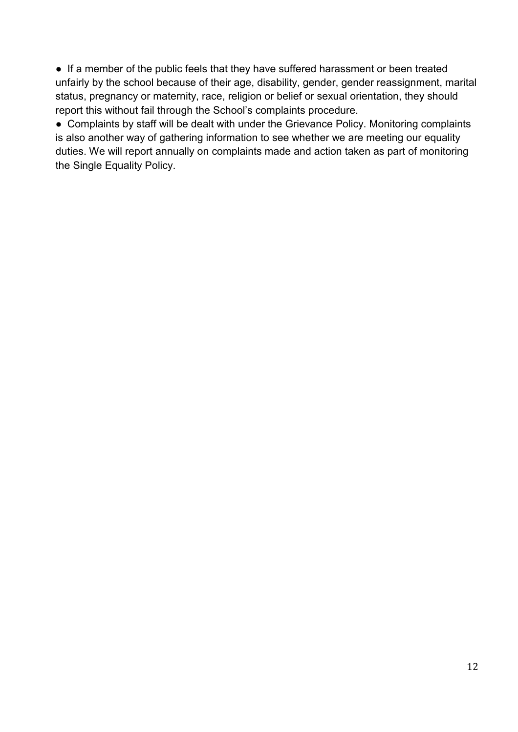● If a member of the public feels that they have suffered harassment or been treated unfairly by the school because of their age, disability, gender, gender reassignment, marital status, pregnancy or maternity, race, religion or belief or sexual orientation, they should report this without fail through the School's complaints procedure.

● Complaints by staff will be dealt with under the Grievance Policy. Monitoring complaints is also another way of gathering information to see whether we are meeting our equality duties. We will report annually on complaints made and action taken as part of monitoring the Single Equality Policy.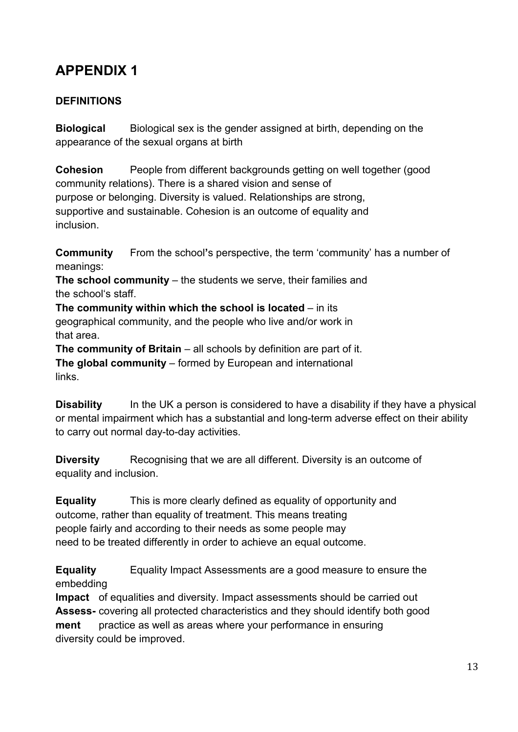## **APPENDIX 1**

#### **DEFINITIONS**

**Biological** Biological sex is the gender assigned at birth, depending on the appearance of the sexual organs at birth

**Cohesion** People from different backgrounds getting on well together (good community relations). There is a shared vision and sense of purpose or belonging. Diversity is valued. Relationships are strong, supportive and sustainable. Cohesion is an outcome of equality and inclusion.

**Community** From the school**'**s perspective, the term 'community' has a number of meanings:

**The school community** – the students we serve, their families and the school's staff.

**The community within which the school is located** – in its geographical community, and the people who live and/or work in that area.

**The community of Britain** – all schools by definition are part of it. **The global community** – formed by European and international links.

**Disability** In the UK a person is considered to have a disability if they have a physical or mental impairment which has a substantial and long-term adverse effect on their ability to carry out normal day-to-day activities.

**Diversity** Recognising that we are all different. Diversity is an outcome of equality and inclusion.

**Equality** This is more clearly defined as equality of opportunity and outcome, rather than equality of treatment. This means treating people fairly and according to their needs as some people may need to be treated differently in order to achieve an equal outcome.

**Equality** Equality Impact Assessments are a good measure to ensure the embedding

**Impact** of equalities and diversity. Impact assessments should be carried out **Assess-** covering all protected characteristics and they should identify both good **ment** practice as well as areas where your performance in ensuring diversity could be improved.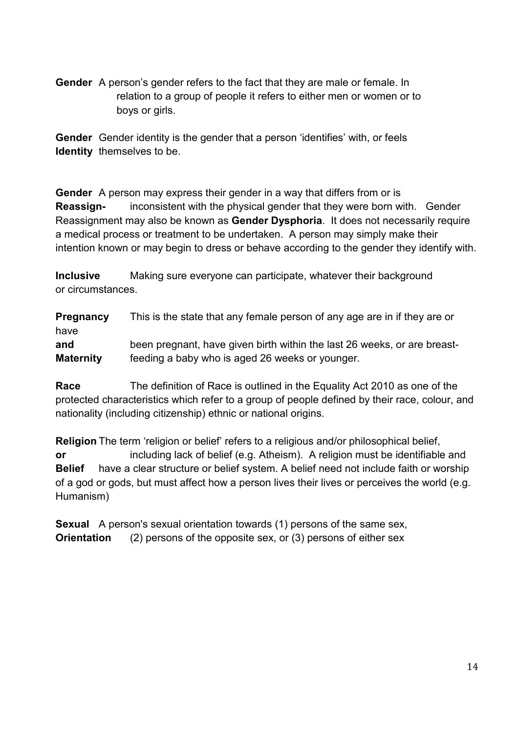**Gender** A person's gender refers to the fact that they are male or female. In relation to a group of people it refers to either men or women or to boys or girls.

**Gender** Gender identity is the gender that a person 'identifies' with, or feels **Identity** themselves to be.

**Gender** A person may express their gender in a way that differs from or is **Reassign-** inconsistent with the physical gender that they were born with. Gender Reassignment may also be known as **Gender Dysphoria**. It does not necessarily require a medical process or treatment to be undertaken. A person may simply make their intention known or may begin to dress or behave according to the gender they identify with.

**Inclusive** Making sure everyone can participate, whatever their background or circumstances.

**Pregnancy** This is the state that any female person of any age are in if they are or have **and** been pregnant, have given birth within the last 26 weeks, or are breast-**Maternity** feeding a baby who is aged 26 weeks or younger.

**Race** The definition of Race is outlined in the Equality Act 2010 as one of the protected characteristics which refer to a group of people defined by their race, colour, and nationality (including citizenship) ethnic or national origins.

**Religion** The term 'religion or belief' refers to a religious and/or philosophical belief, **or** including lack of belief (e.g. Atheism). A religion must be identifiable and **Belief** have a clear structure or belief system. A belief need not include faith or worship of a god or gods, but must affect how a person lives their lives or perceives the world (e.g. Humanism)

**Sexual** A person's sexual orientation towards (1) persons of the same sex, **Orientation** (2) persons of the opposite sex, or (3) persons of either sex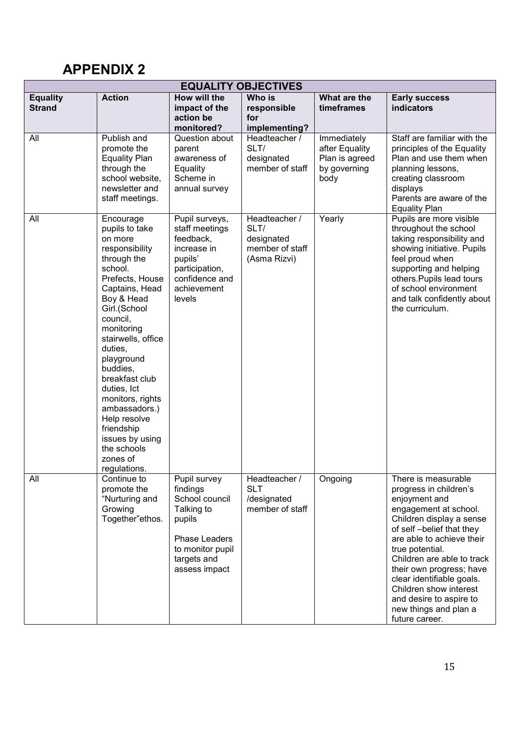## **APPENDIX 2**

| <b>EQUALITY OBJECTIVES</b>       |                                                                                                                                                                                                                                                                                                                                                                                                              |                                                                                                                                         |                                                                        |                                                                         |                                                                                                                                                                                                                                                                                                                                                                                        |  |
|----------------------------------|--------------------------------------------------------------------------------------------------------------------------------------------------------------------------------------------------------------------------------------------------------------------------------------------------------------------------------------------------------------------------------------------------------------|-----------------------------------------------------------------------------------------------------------------------------------------|------------------------------------------------------------------------|-------------------------------------------------------------------------|----------------------------------------------------------------------------------------------------------------------------------------------------------------------------------------------------------------------------------------------------------------------------------------------------------------------------------------------------------------------------------------|--|
| <b>Equality</b><br><b>Strand</b> | <b>Action</b>                                                                                                                                                                                                                                                                                                                                                                                                | How will the<br>impact of the<br>action be<br>monitored?                                                                                | Who is<br>responsible<br>for<br>implementing?                          | What are the<br>timeframes                                              | <b>Early success</b><br>indicators                                                                                                                                                                                                                                                                                                                                                     |  |
| All                              | Publish and<br>promote the<br><b>Equality Plan</b><br>through the<br>school website,<br>newsletter and<br>staff meetings.                                                                                                                                                                                                                                                                                    | Question about<br>parent<br>awareness of<br>Equality<br>Scheme in<br>annual survey                                                      | Headteacher /<br>SLT/<br>designated<br>member of staff                 | Immediately<br>after Equality<br>Plan is agreed<br>by governing<br>body | Staff are familiar with the<br>principles of the Equality<br>Plan and use them when<br>planning lessons,<br>creating classroom<br>displays<br>Parents are aware of the<br><b>Equality Plan</b>                                                                                                                                                                                         |  |
| All                              | Encourage<br>pupils to take<br>on more<br>responsibility<br>through the<br>school.<br>Prefects, House<br>Captains, Head<br>Boy & Head<br>Girl.(School<br>council,<br>monitoring<br>stairwells, office<br>duties,<br>playground<br>buddies,<br>breakfast club<br>duties, Ict<br>monitors, rights<br>ambassadors.)<br>Help resolve<br>friendship<br>issues by using<br>the schools<br>zones of<br>regulations. | Pupil surveys,<br>staff meetings<br>feedback,<br>increase in<br>pupils'<br>participation,<br>confidence and<br>achievement<br>levels    | Headteacher /<br>SLT/<br>designated<br>member of staff<br>(Asma Rizvi) | Yearly                                                                  | Pupils are more visible<br>throughout the school<br>taking responsibility and<br>showing initiative. Pupils<br>feel proud when<br>supporting and helping<br>others. Pupils lead tours<br>of school environment<br>and talk confidently about<br>the curriculum.                                                                                                                        |  |
| All                              | Continue to<br>promote the<br>"Nurturing and<br>Growing<br>Together"ethos.                                                                                                                                                                                                                                                                                                                                   | Pupil survey<br>findings<br>School council<br>Talking to<br>pupils<br>Phase Leaders<br>to monitor pupil<br>targets and<br>assess impact | Headteacher /<br><b>SLT</b><br>/designated<br>member of staff          | Ongoing                                                                 | There is measurable<br>progress in children's<br>enjoyment and<br>engagement at school.<br>Children display a sense<br>of self-belief that they<br>are able to achieve their<br>true potential.<br>Children are able to track<br>their own progress; have<br>clear identifiable goals.<br>Children show interest<br>and desire to aspire to<br>new things and plan a<br>future career. |  |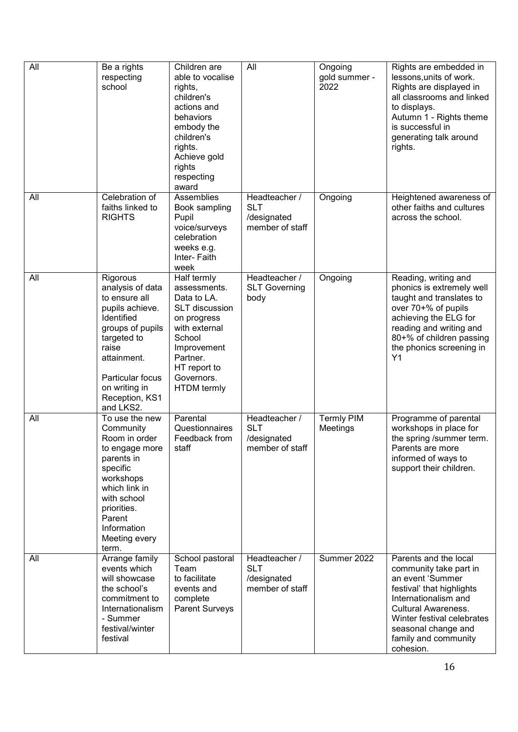| All | Be a rights<br>respecting<br>school                                                                                                                                                                           | Children are<br>able to vocalise<br>rights,<br>children's<br>actions and<br>behaviors<br>embody the<br>children's<br>rights.<br>Achieve gold<br>rights<br>respecting<br>award                | All                                                           | Ongoing<br>gold summer -<br>2022 | Rights are embedded in<br>lessons, units of work.<br>Rights are displayed in<br>all classrooms and linked<br>to displays.<br>Autumn 1 - Rights theme<br>is successful in<br>generating talk around<br>rights.                                    |
|-----|---------------------------------------------------------------------------------------------------------------------------------------------------------------------------------------------------------------|----------------------------------------------------------------------------------------------------------------------------------------------------------------------------------------------|---------------------------------------------------------------|----------------------------------|--------------------------------------------------------------------------------------------------------------------------------------------------------------------------------------------------------------------------------------------------|
| All | Celebration of<br>faiths linked to<br><b>RIGHTS</b>                                                                                                                                                           | Assemblies<br>Book sampling<br>Pupil<br>voice/surveys<br>celebration<br>weeks e.g.<br>Inter-Faith<br>week                                                                                    | Headteacher /<br><b>SLT</b><br>/designated<br>member of staff | Ongoing                          | Heightened awareness of<br>other faiths and cultures<br>across the school.                                                                                                                                                                       |
| All | Rigorous<br>analysis of data<br>to ensure all<br>pupils achieve.<br>Identified<br>groups of pupils<br>targeted to<br>raise<br>attainment.<br>Particular focus<br>on writing in<br>Reception, KS1<br>and LKS2. | Half termly<br>assessments.<br>Data to LA.<br><b>SLT</b> discussion<br>on progress<br>with external<br>School<br>Improvement<br>Partner.<br>HT report to<br>Governors.<br><b>HTDM</b> termly | Headteacher /<br><b>SLT Governing</b><br>body                 | Ongoing                          | Reading, writing and<br>phonics is extremely well<br>taught and translates to<br>over 70+% of pupils<br>achieving the ELG for<br>reading and writing and<br>80+% of children passing<br>the phonics screening in<br>Y1                           |
| All | To use the new<br>Community<br>Room in order<br>to engage more<br>parents in<br>specific<br>workshops<br>which link in<br>with school<br>priorities.<br>Parent<br>Information<br>Meeting every<br>term.       | Parental<br>Questionnaires<br>Feedback from<br>staff                                                                                                                                         | Headteacher /<br><b>SLT</b><br>/designated<br>member of staff | Termly PIM<br>Meetings           | Programme of parental<br>workshops in place for<br>the spring /summer term.<br>Parents are more<br>informed of ways to<br>support their children.                                                                                                |
| All | Arrange family<br>events which<br>will showcase<br>the school's<br>commitment to<br>Internationalism<br>- Summer<br>festival/winter<br>festival                                                               | School pastoral<br>Team<br>to facilitate<br>events and<br>complete<br><b>Parent Surveys</b>                                                                                                  | Headteacher /<br><b>SLT</b><br>/designated<br>member of staff | Summer 2022                      | Parents and the local<br>community take part in<br>an event 'Summer<br>festival' that highlights<br>Internationalism and<br><b>Cultural Awareness.</b><br>Winter festival celebrates<br>seasonal change and<br>family and community<br>cohesion. |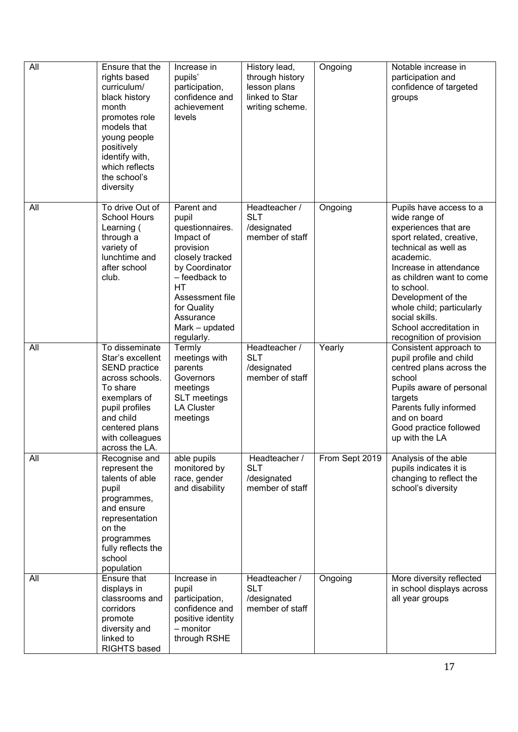| All | Ensure that the<br>rights based<br>curriculum/<br>black history<br>month<br>promotes role<br>models that<br>young people<br>positively<br>identify with,<br>which reflects<br>the school's<br>diversity | Increase in<br>pupils'<br>participation,<br>confidence and<br>achievement<br>levels                                                                                                                                | History lead,<br>through history<br>lesson plans<br>linked to Star<br>writing scheme. | Ongoing        | Notable increase in<br>participation and<br>confidence of targeted<br>groups                                                                                                                                                                                                                                                      |
|-----|---------------------------------------------------------------------------------------------------------------------------------------------------------------------------------------------------------|--------------------------------------------------------------------------------------------------------------------------------------------------------------------------------------------------------------------|---------------------------------------------------------------------------------------|----------------|-----------------------------------------------------------------------------------------------------------------------------------------------------------------------------------------------------------------------------------------------------------------------------------------------------------------------------------|
| All | To drive Out of<br><b>School Hours</b><br>Learning (<br>through a<br>variety of<br>lunchtime and<br>after school<br>club.                                                                               | Parent and<br>pupil<br>questionnaires.<br>Impact of<br>provision<br>closely tracked<br>by Coordinator<br>- feedback to<br><b>HT</b><br>Assessment file<br>for Quality<br>Assurance<br>Mark - updated<br>regularly. | Headteacher /<br><b>SLT</b><br>/designated<br>member of staff                         | Ongoing        | Pupils have access to a<br>wide range of<br>experiences that are<br>sport related, creative,<br>technical as well as<br>academic.<br>Increase in attendance<br>as children want to come<br>to school.<br>Development of the<br>whole child; particularly<br>social skills.<br>School accreditation in<br>recognition of provision |
| All | To disseminate<br>Star's excellent<br>SEND practice<br>across schools.<br>To share<br>exemplars of<br>pupil profiles<br>and child<br>centered plans<br>with colleagues<br>across the LA.                | Termly<br>meetings with<br>parents<br>Governors<br>meetings<br><b>SLT</b> meetings<br><b>LA Cluster</b><br>meetings                                                                                                | Headteacher /<br><b>SLT</b><br>/designated<br>member of staff                         | Yearly         | Consistent approach to<br>pupil profile and child<br>centred plans across the<br>school<br>Pupils aware of personal<br>targets<br>Parents fully informed<br>and on board<br>Good practice followed<br>up with the LA                                                                                                              |
| All | Recognise and<br>represent the<br>talents of able<br>pupil<br>programmes,<br>and ensure<br>representation<br>on the<br>programmes<br>fully reflects the<br>school<br>population                         | able pupils<br>monitored by<br>race, gender<br>and disability                                                                                                                                                      | Headteacher /<br><b>SLT</b><br>/designated<br>member of staff                         | From Sept 2019 | Analysis of the able<br>pupils indicates it is<br>changing to reflect the<br>school's diversity                                                                                                                                                                                                                                   |
| All | Ensure that<br>displays in<br>classrooms and<br>corridors<br>promote<br>diversity and<br>linked to<br>RIGHTS based                                                                                      | Increase in<br>pupil<br>participation,<br>confidence and<br>positive identity<br>- monitor<br>through RSHE                                                                                                         | Headteacher /<br><b>SLT</b><br>/designated<br>member of staff                         | Ongoing        | More diversity reflected<br>in school displays across<br>all year groups                                                                                                                                                                                                                                                          |